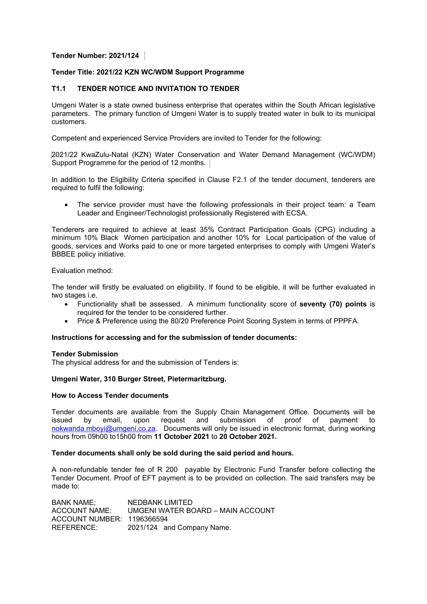# **Tender Number: 2021/124**

## **Tender Title: 2021/22 KZN WC/WDM Support Programme**

## **T1.1 TENDER NOTICE AND INVITATION TO TENDER**

Umgeni Water is a state owned business enterprise that operates within the South African legislative parameters. The primary function of Umgeni Water is to supply treated water in bulk to its municipal customers.

Competent and experienced Service Providers are invited to Tender for the following:

2021/22 KwaZulu-Natal (KZN) Water Conservation and Water Demand Management (WC/WDM) Support Programme for the period of 12 months.

In addition to the Eligibility Criteria specified in Clause F2.1 of the tender document, tenderers are required to fulfil the following:

 The service provider must have the following professionals in their project team: a Team Leader and Engineer/Technologist professionally Registered with ECSA.

Tenderers are required to achieve at least 35% Contract Participation Goals (CPG) including a minimum 10% Black Women participation and another 10% for Local participation of the value of goods, services and Works paid to one or more targeted enterprises to comply with Umgeni Water's BBBEE policy initiative.

## Evaluation method:

The tender will firstly be evaluated on eligibility. If found to be eligible, it will be further evaluated in two stages i.e.

- Functionality shall be assessed. A minimum functionality score of **seventy (70) points** is required for the tender to be considered further.
- Price & Preference using the 80/20 Preference Point Scoring System in terms of PPPFA.

#### **Instructions for accessing and for the submission of tender documents:**

#### **Tender Submission**

The physical address for and the submission of Tenders is:

# **Umgeni Water, 310 Burger Street, Pietermaritzburg.**

#### **How to Access Tender documents**

Tender documents are available from the Supply Chain Management Office. Documents will be issued by email, upon request and submission of proof of payment to nokwanda.mboyi@umgeni.co.za. Documents will only be issued in electronic format, during working hours from 09h00 to15h00 from **11 October 2021** to **20 October 2021.** 

#### **Tender documents shall only be sold during the said period and hours.**

A non-refundable tender fee of R 200 payable by Electronic Fund Transfer before collecting the Tender Document. Proof of EFT payment is to be provided on collection. The said transfers may be made to:

BANK NAME; NEDBANK LIMITED ACCOUNT NAME: UMGENI WATER BOARD – MAIN ACCOUNT ACCOUNT NUMBER: 1196366594 REFERENCE: 2021/124 and Company Name.